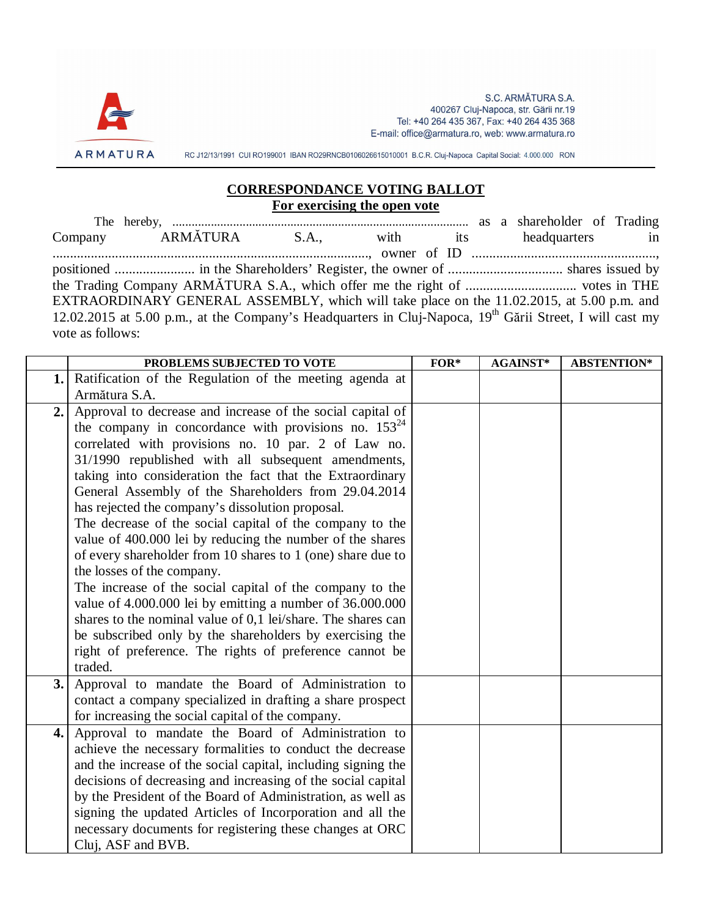

S.C. ARMĂTURA S.A. 400267 Cluj-Napoca, str. Gării nr.19 Tel: +40 264 435 367, Fax: +40 264 435 368 E-mail: office@armatura.ro, web: www.armatura.ro

RC J12/13/1991 CUI RO199001 IBAN RO29RNCB0106026615010001 B.C.R. Cluj-Napoca Capital Social: 4.000.000 RON

## **CORRESPONDANCE VOTING BALLOT For exercising the open vote**

The hereby, ............................................................................................. as a shareholder of Trading Company ARMĂTURA S.A., with its headquarters in ..........................................................................................., owner of ID ....................................................., positioned ....................... in the Shareholders' Register, the owner of ................................. shares issued by the Trading Company ARMĂTURA S.A., which offer me the right of ................................ votes in THE EXTRAORDINARY GENERAL ASSEMBLY, which will take place on the 11.02.2015, at 5.00 p.m. and 12.02.2015 at 5.00 p.m., at the Company's Headquarters in Cluj-Napoca, 19<sup>th</sup> Gării Street, I will cast my vote as follows:

|     | PROBLEMS SUBJECTED TO VOTE                                                                                                 | $FOR*$ | <b>AGAINST*</b> | <b>ABSTENTION*</b> |
|-----|----------------------------------------------------------------------------------------------------------------------------|--------|-----------------|--------------------|
| 1.1 | Ratification of the Regulation of the meeting agenda at                                                                    |        |                 |                    |
|     | Armătura S.A.                                                                                                              |        |                 |                    |
| 2.  | Approval to decrease and increase of the social capital of                                                                 |        |                 |                    |
|     | the company in concordance with provisions no. $153^{24}$<br>correlated with provisions no. 10 par. 2 of Law no.           |        |                 |                    |
|     | 31/1990 republished with all subsequent amendments,                                                                        |        |                 |                    |
|     | taking into consideration the fact that the Extraordinary                                                                  |        |                 |                    |
|     | General Assembly of the Shareholders from 29.04.2014                                                                       |        |                 |                    |
|     | has rejected the company's dissolution proposal.                                                                           |        |                 |                    |
|     | The decrease of the social capital of the company to the                                                                   |        |                 |                    |
|     | value of 400.000 lei by reducing the number of the shares                                                                  |        |                 |                    |
|     | of every shareholder from 10 shares to 1 (one) share due to                                                                |        |                 |                    |
|     | the losses of the company.                                                                                                 |        |                 |                    |
|     | The increase of the social capital of the company to the                                                                   |        |                 |                    |
|     | value of 4.000.000 lei by emitting a number of 36.000.000                                                                  |        |                 |                    |
|     | shares to the nominal value of 0,1 lei/share. The shares can                                                               |        |                 |                    |
|     | be subscribed only by the shareholders by exercising the                                                                   |        |                 |                    |
|     | right of preference. The rights of preference cannot be                                                                    |        |                 |                    |
|     | traded.                                                                                                                    |        |                 |                    |
| 3.  | Approval to mandate the Board of Administration to                                                                         |        |                 |                    |
|     | contact a company specialized in drafting a share prospect                                                                 |        |                 |                    |
|     | for increasing the social capital of the company.                                                                          |        |                 |                    |
| 4.  | Approval to mandate the Board of Administration to                                                                         |        |                 |                    |
|     | achieve the necessary formalities to conduct the decrease<br>and the increase of the social capital, including signing the |        |                 |                    |
|     | decisions of decreasing and increasing of the social capital                                                               |        |                 |                    |
|     | by the President of the Board of Administration, as well as                                                                |        |                 |                    |
|     | signing the updated Articles of Incorporation and all the                                                                  |        |                 |                    |
|     | necessary documents for registering these changes at ORC                                                                   |        |                 |                    |
|     | Cluj, ASF and BVB.                                                                                                         |        |                 |                    |